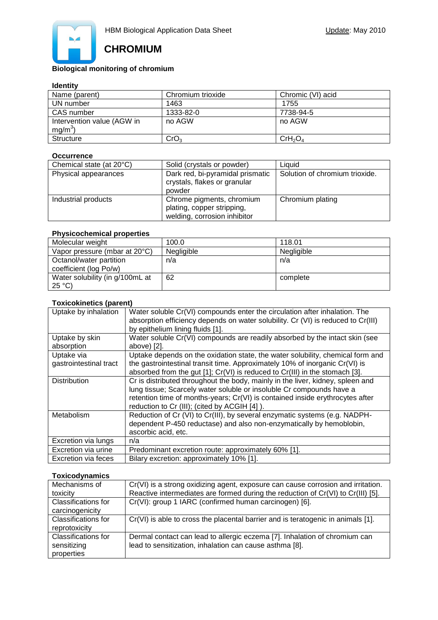

# **CHROMIUM**

# **Biological monitoring of chromium**

### **Identity**

| Name (parent)              | Chromium trioxide | Chromic (VI) acid               |
|----------------------------|-------------------|---------------------------------|
| UN number                  | 1463              | 1755                            |
| CAS number                 | 1333-82-0         | 7738-94-5                       |
| Intervention value (AGW in | no AGW            | no AGW                          |
| $mg/m3$ )                  |                   |                                 |
| <b>Structure</b>           | CrO <sub>3</sub>  | CrH <sub>2</sub> O <sub>4</sub> |

#### **Occurrence**

| Chemical state (at 20°C) | Solid (crystals or powder)                                                              | Liauid                         |
|--------------------------|-----------------------------------------------------------------------------------------|--------------------------------|
| Physical appearances     | Dark red, bi-pyramidal prismatic<br>crystals, flakes or granular<br>powder              | Solution of chromium trioxide. |
| Industrial products      | Chrome pigments, chromium<br>plating, copper stripping,<br>welding, corrosion inhibitor | Chromium plating               |

## **Physicochemical properties**

| Molecular weight                                  | 100.0      | 118.01     |
|---------------------------------------------------|------------|------------|
| Vapor pressure (mbar at 20°C)                     | Negligible | Negligible |
| Octanol/water partition<br>coefficient (log Po/w) | n/a        | n/a        |
| Water solubility (in g/100mL at<br>$25^{\circ}C$  | 62         | complete   |

# **Toxicokinetics (parent)**

| Uptake by inhalation   | Water soluble Cr(VI) compounds enter the circulation after inhalation. The            |
|------------------------|---------------------------------------------------------------------------------------|
|                        | absorption efficiency depends on water solubility. Cr (VI) is reduced to Cr(III)      |
|                        | by epithelium lining fluids [1].                                                      |
| Uptake by skin         | Water soluble Cr(VI) compounds are readily absorbed by the intact skin (see           |
| absorption             | above) [2].                                                                           |
| Uptake via             | Uptake depends on the oxidation state, the water solubility, chemical form and        |
| gastrointestinal tract | the gastrointestinal transit time. Approximately 10% of inorganic Cr(VI) is           |
|                        | absorbed from the gut $[1]$ ; $Cr(VI)$ is reduced to $Cr(III)$ in the stomach $[3]$ . |
| <b>Distribution</b>    | Cr is distributed throughout the body, mainly in the liver, kidney, spleen and        |
|                        | lung tissue; Scarcely water soluble or insoluble Cr compounds have a                  |
|                        | retention time of months-years; Cr(VI) is contained inside erythrocytes after         |
|                        | reduction to Cr (III); (cited by ACGIH [4]).                                          |
| Metabolism             | Reduction of Cr (VI) to Cr(III), by several enzymatic systems (e.g. NADPH-            |
|                        | dependent P-450 reductase) and also non-enzymatically by hemoblobin,                  |
|                        | ascorbic acid, etc.                                                                   |
| Excretion via lungs    | n/a                                                                                   |
| Excretion via urine    | Predominant excretion route: approximately 60% [1].                                   |
| Excretion via feces    | Bilary excretion: approximately 10% [1].                                              |

## **Toxicodynamics**

| Mechanisms of                               | Cr(VI) is a strong oxidizing agent, exposure can cause corrosion and irritation. |
|---------------------------------------------|----------------------------------------------------------------------------------|
| toxicity                                    | Reactive intermediates are formed during the reduction of Cr(VI) to Cr(III) [5]. |
| Classifications for<br>carcinogenicity      | Cr(VI): group 1 IARC (confirmed human carcinogen) [6].                           |
| <b>Classifications for</b><br>reprotoxicity | Cr(VI) is able to cross the placental barrier and is teratogenic in animals [1]. |
| <b>Classifications for</b>                  | Dermal contact can lead to allergic eczema [7]. Inhalation of chromium can       |
| sensitizing                                 | lead to sensitization, inhalation can cause asthma [8].                          |
| properties                                  |                                                                                  |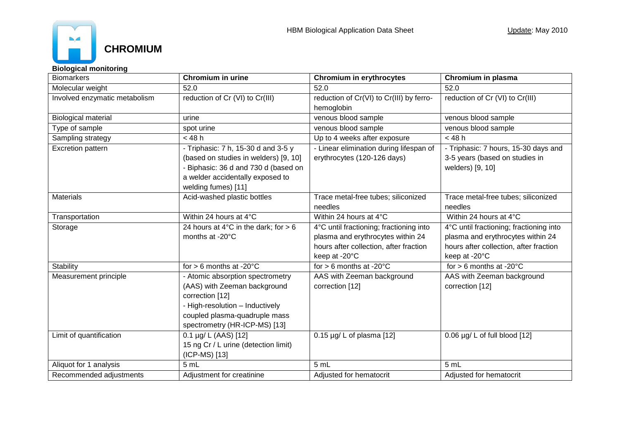

**Biological monitoring**

| <b>Biomarkers</b>                                                                                                                                                                                                 | Chromium in urine                                                                                                                                                                                                                                         | <b>Chromium in erythrocytes</b>                                                                                                         | Chromium in plasma                                                                                                                      |
|-------------------------------------------------------------------------------------------------------------------------------------------------------------------------------------------------------------------|-----------------------------------------------------------------------------------------------------------------------------------------------------------------------------------------------------------------------------------------------------------|-----------------------------------------------------------------------------------------------------------------------------------------|-----------------------------------------------------------------------------------------------------------------------------------------|
| Molecular weight                                                                                                                                                                                                  | 52.0                                                                                                                                                                                                                                                      | 52.0                                                                                                                                    | 52.0                                                                                                                                    |
| Involved enzymatic metabolism                                                                                                                                                                                     | reduction of Cr (VI) to Cr(III)                                                                                                                                                                                                                           | reduction of Cr(VI) to Cr(III) by ferro-<br>hemoglobin                                                                                  |                                                                                                                                         |
| <b>Biological material</b>                                                                                                                                                                                        | urine                                                                                                                                                                                                                                                     | venous blood sample                                                                                                                     | venous blood sample                                                                                                                     |
|                                                                                                                                                                                                                   |                                                                                                                                                                                                                                                           |                                                                                                                                         |                                                                                                                                         |
| Type of sample                                                                                                                                                                                                    | spot urine                                                                                                                                                                                                                                                | venous blood sample                                                                                                                     | venous blood sample                                                                                                                     |
| Sampling strategy                                                                                                                                                                                                 | $<$ 48 h                                                                                                                                                                                                                                                  | Up to 4 weeks after exposure                                                                                                            | $<$ 48 h                                                                                                                                |
| Excretion pattern                                                                                                                                                                                                 | - Triphasic: 7 h, 15-30 d and 3-5 y<br>- Linear elimination during lifespan of<br>(based on studies in welders) [9, 10]<br>erythrocytes (120-126 days)<br>- Biphasic: 36 d and 730 d (based on<br>a welder accidentally exposed to<br>welding fumes) [11] |                                                                                                                                         | - Triphasic: 7 hours, 15-30 days and<br>3-5 years (based on studies in<br>welders) [9, 10]                                              |
| <b>Materials</b>                                                                                                                                                                                                  | Acid-washed plastic bottles                                                                                                                                                                                                                               | Trace metal-free tubes; siliconized<br>needles                                                                                          | Trace metal-free tubes; siliconized<br>needles                                                                                          |
| Transportation                                                                                                                                                                                                    | Within 24 hours at 4°C                                                                                                                                                                                                                                    | Within 24 hours at 4°C                                                                                                                  | Within 24 hours at 4°C                                                                                                                  |
| Storage                                                                                                                                                                                                           | 24 hours at 4 $\degree$ C in the dark; for > 6<br>months at -20°C                                                                                                                                                                                         | 4°C until fractioning; fractioning into<br>plasma and erythrocytes within 24<br>hours after collection, after fraction<br>keep at -20°C | 4°C until fractioning; fractioning into<br>plasma and erythrocytes within 24<br>hours after collection, after fraction<br>keep at -20°C |
| Stability                                                                                                                                                                                                         | for $> 6$ months at -20 $^{\circ}$ C                                                                                                                                                                                                                      | for $> 6$ months at -20 $^{\circ}$ C                                                                                                    | for $> 6$ months at -20 $^{\circ}$ C                                                                                                    |
| Measurement principle<br>- Atomic absorption spectrometry<br>(AAS) with Zeeman background<br>correction [12]<br>- High-resolution - Inductively<br>coupled plasma-quadruple mass<br>spectrometry (HR-ICP-MS) [13] |                                                                                                                                                                                                                                                           | AAS with Zeeman background<br>correction [12]                                                                                           | AAS with Zeeman background<br>correction [12]                                                                                           |
| Limit of quantification                                                                                                                                                                                           | 0.1 µg/ L (AAS) [12]<br>15 ng Cr / L urine (detection limit)<br>(ICP-MS) [13]                                                                                                                                                                             | $0.15 \mu g/L$ of plasma [12]                                                                                                           | $0.06 \mu g/L$ of full blood [12]                                                                                                       |
| Aliquot for 1 analysis                                                                                                                                                                                            | 5 mL                                                                                                                                                                                                                                                      | 5 mL                                                                                                                                    | 5mL                                                                                                                                     |
| Recommended adjustments                                                                                                                                                                                           | Adjustment for creatinine                                                                                                                                                                                                                                 | Adjusted for hematocrit                                                                                                                 | Adjusted for hematocrit                                                                                                                 |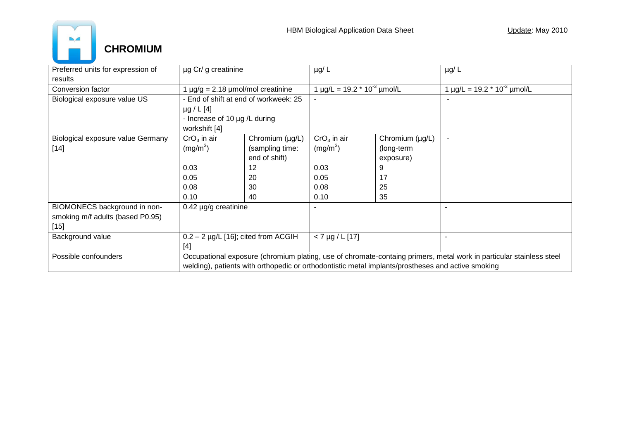

| Preferred units for expression of | µg Cr/ g creatinine                                                                                                 |                               | $\mu$ g/L                                           |                 | $\mu$ g/L                                           |
|-----------------------------------|---------------------------------------------------------------------------------------------------------------------|-------------------------------|-----------------------------------------------------|-----------------|-----------------------------------------------------|
| results                           |                                                                                                                     |                               |                                                     |                 |                                                     |
| Conversion factor                 | $\mu$ g/g = 2.18 $\mu$ mol/mol creatinine                                                                           |                               | 1 $\mu$ g/L = 19.2 $*$ 10 <sup>-3</sup> $\mu$ mol/L |                 | 1 $\mu$ g/L = 19.2 $*$ 10 <sup>-3</sup> $\mu$ mol/L |
| Biological exposure value US      | - End of shift at end of workweek: 25                                                                               |                               |                                                     |                 |                                                     |
|                                   | $\mu$ g / L [4]                                                                                                     |                               |                                                     |                 |                                                     |
|                                   |                                                                                                                     | - Increase of 10 µg /L during |                                                     |                 |                                                     |
|                                   | workshift [4]                                                                                                       |                               |                                                     |                 |                                                     |
| Biological exposure value Germany | $CrO3$ in air                                                                                                       | Chromium (µg/L)               | $CrO3$ in air                                       | Chromium (µg/L) | $\blacksquare$                                      |
| $[14]$                            | (mg/m <sup>3</sup> )                                                                                                | (sampling time:               | (mg/m <sup>3</sup> )                                | (long-term      |                                                     |
|                                   |                                                                                                                     | end of shift)                 |                                                     | exposure)       |                                                     |
|                                   | 0.03                                                                                                                | 12                            | 0.03                                                | 9               |                                                     |
|                                   | 0.05                                                                                                                | 20                            | 0.05                                                | 17              |                                                     |
|                                   | 0.08                                                                                                                | 30                            | 0.08                                                | 25              |                                                     |
|                                   | 0.10                                                                                                                | 40                            | 0.10                                                | 35              |                                                     |
| BIOMONECS background in non-      | $0.42 \mu g/g$ creatinine                                                                                           |                               |                                                     |                 |                                                     |
| smoking m/f adults (based P0.95)  |                                                                                                                     |                               |                                                     |                 |                                                     |
| $[15]$                            |                                                                                                                     |                               |                                                     |                 |                                                     |
| Background value                  | $0.2 - 2$ µg/L [16]; cited from ACGIH                                                                               |                               | $< 7 \mu g / L$ [17]                                |                 |                                                     |
|                                   | $[4]$                                                                                                               |                               |                                                     |                 |                                                     |
| Possible confounders              | Occupational exposure (chromium plating, use of chromate-containg primers, metal work in particular stainless steel |                               |                                                     |                 |                                                     |
|                                   | welding), patients with orthopedic or orthodontistic metal implants/prostheses and active smoking                   |                               |                                                     |                 |                                                     |